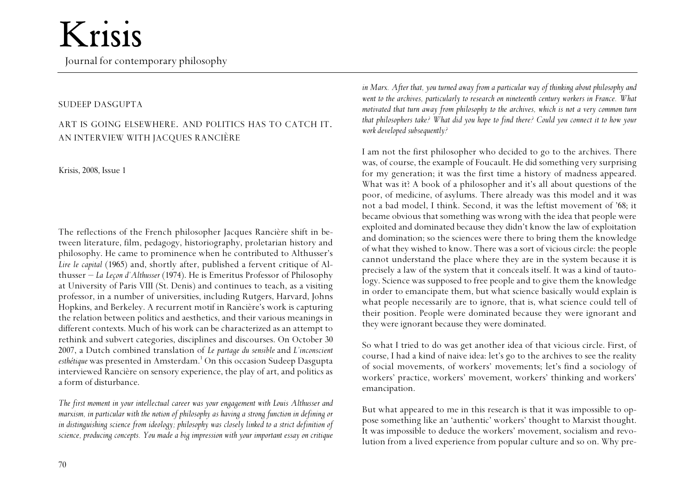## Krisis

Journal for contemporary philosophy

#### SUDEEP DASGUPTA

### ART IS GOING ELSEWHERE. AND POLITICS HAS TO CATCH IT. AN INTERVIEW WITH JACQUES RANCIÈRE

Krisis, 2008, Issue 1

The reflections of the French philosopher Jacques Rancière shift in between literature, film, pedagogy, historiography, proletarian history and philosophy. He came to prominence when he contributed to Althusser's *Lire le capital* (1965) and, shortly after, published a fervent critique of Althusser – *La Leçon d'Althusser* (1974). He is Emeritus Professor of Philosophy at University of Paris VIII (St. Denis) and continues to teach, as a visiting professor, in a number of universities, including Rutgers, Harvard, Johns Hopkins, and Berkeley. A recurrent motif in Rancière's work is capturing the relation between politics and aesthetics, and their various meanings in different contexts. Much of his work can be characterized as an attempt to rethink and subvert categories, disciplines and discourses. On October 30 2007, a Dutch combined translation of *Le partage du sensible* and *L'inconscient esthétique* was presented in Amsterdam.<sup>1</sup> On this occasion Sudeep Dasgupta interviewed Rancière on sensory experience, the play of art, and politics as a form of disturbance.

*The first moment in your intellectual career was your engagement with Louis Althusser and marxism, in particular with the notion of philosophy as having a strong function in defining or in distinguishing science from ideology; philosophy was closely linked to a strict definition of science, producing concepts. You made a big impression with your important essay on critique*

*in Marx. After that, you turned away from a particular way of thinking about philosophy and went to the archives, particularly to research on nineteenth century workers in France. What motivated that turn away from philosophy to the archives, which is not a very common turn that philosophers take? What did you hope to find there? Could you connect it to how your work developed subsequently?*

I am not the first philosopher who decided to go to the archives. There was, of course, the example of Foucault. He did something very surprising for my generation; it was the first time a history of madness appeared. What was it? A book of a philosopher and it's all about questions of the poor, of medicine, of asylums. There already was this model and it was not a bad model, I think. Second, it was the leftist movement of '68; it became obvious that something was wrong with the idea that people were exploited and dominated because they didn't know the law of exploitation and domination; so the sciences were there to bring them the knowledge of what they wished to know. There was a sort of vicious circle: the people cannot understand the place where they are in the system because it is precisely a law of the system that it conceals itself. It was a kind of tautology. Science was supposed to free people and to give them the knowledge in order to emancipate them, but what science basically would explain is what people necessarily are to ignore, that is, what science could tell of their position. People were dominated because they were ignorant and they were ignorant because they were dominated.

So what I tried to do was get another idea of that vicious circle. First, of course, I had a kind of naive idea: let's go to the archives to see the reality of social movements, of workers' movements; let's find a sociology of workers' practice, workers' movement, workers' thinking and workers' emancipation.

But what appeared to me in this research is that it was impossible to oppose something like an 'authentic' workers' thought to Marxist thought. It was impossible to deduce the workers' movement, socialism and revolution from a lived experience from popular culture and so on. Why pre-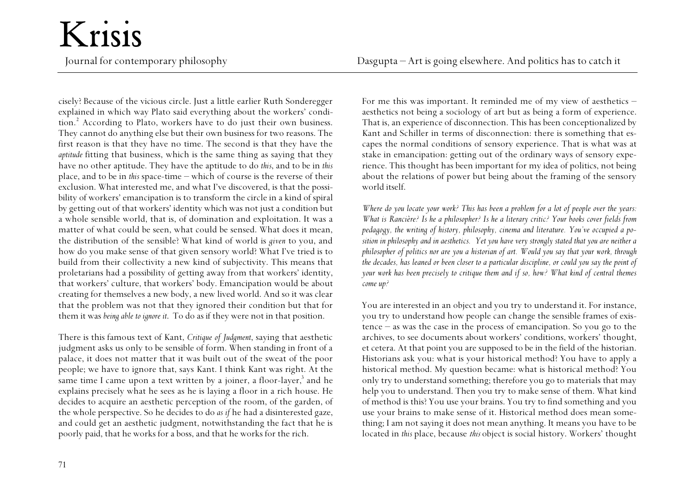cisely? Because of the vicious circle. Just a little earlier Ruth Sonderegger explained in which way Plato said everything about the workers' condition... According to Plato, workers have to do just their own business. They cannot do anything else but their own business for two reasons. The first reason is that they have no time. The second is that they have the *aptitude* fitting that business, which is the same thing as saying that they have no other aptitude. They have the aptitude to do *this*, and to be in *this* place, and to be in *this* space-time – which of course is the reverse of their exclusion. What interested me, and what I've discovered, is that the possibility of workers' emancipation is to transform the circle in a kind of spiral by getting out of that workers' identity which was not just a condition but a whole sensible world, that is, of domination and exploitation. It was a matter of what could be seen, what could be sensed. What does it mean, the distribution of the sensible? What kind of world is *given* to you, and how do you make sense of that given sensory world? What I've tried is to build from their collectivity a new kind of subjectivity. This means that proletarians had a possibility of getting away from that workers' identity, that workers' culture, that workers' body. Emancipation would be about creating for themselves a new body, a new lived world. And so it was clear that the problem was not that they ignored their condition but that for them it was *being able to ignore it*. To do as if they were not in that position.

There is this famous text of Kant, *Critique of Judgment*, saying that aesthetic judgment asks us only to be sensible of form. When standing in front of a palace, it does not matter that it was built out of the sweat of the poor people; we have to ignore that, says Kant. I think Kant was right. At the same time I came upon a text written by a joiner, a floor-layer, $3$  and he explains precisely what he sees as he is laying a floor in a rich house. He decides to acquire an aesthetic perception of the room, of the garden, of the whole perspective. So he decides to do *as if* he had a disinterested gaze, and could get an aesthetic judgment, notwithstanding the fact that he is poorly paid, that he works for a boss, and that he works for the rich.

For me this was important. It reminded me of my view of aesthetics – aesthetics not being a sociology of art but as being a form of experience. That is, an experience of disconnection. This has been conceptionalized by Kant and Schiller in terms of disconnection: there is something that escapes the normal conditions of sensory experience. That is what was at stake in emancipation: getting out of the ordinary ways of sensory experience. This thought has been important for my idea of politics, not being about the relations of power but being about the framing of the sensory world itself.

*Where do you locate your work? This has been a problem for a lot of people over the years: What is Rancière? Is he a philosopher? Is he a literary critic? Your books cover fields from pedagogy, the writing of history, philosophy, cinema and literature. You've occupied a position in philosophy and in aesthetics. Yet you have very strongly stated that you are neither a <sup>p</sup>hilosopher of politics nor are you a historian of art. Would you say that your work, through the decades, has leaned or been closer to a particular discipline, or could you say the point of your work has been precisely to critique them and if so, how? What kind of central themes come up?*

You are interested in an object and you try to understand it. For instance, you try to understand how people can change the sensible frames of existence – as was the case in the process of emancipation. So you go to the archives, to see documents about workers' conditions, workers' thought, et cetera. At that point you are supposed to be in the field of the historian. Historians ask you: what is your historical method? You have to apply a historical method. My question became: what is historical method? You only try to understand something; therefore you go to materials that may help you to understand. Then you try to make sense of them. What kind of method is this? You use your brains. You try to find something and you use your brains to make sense of it. Historical method does mean something; I am not saying it does not mean anything. It means you have to be located in *this* place, because *this* object is social history. Workers' thought

Krisis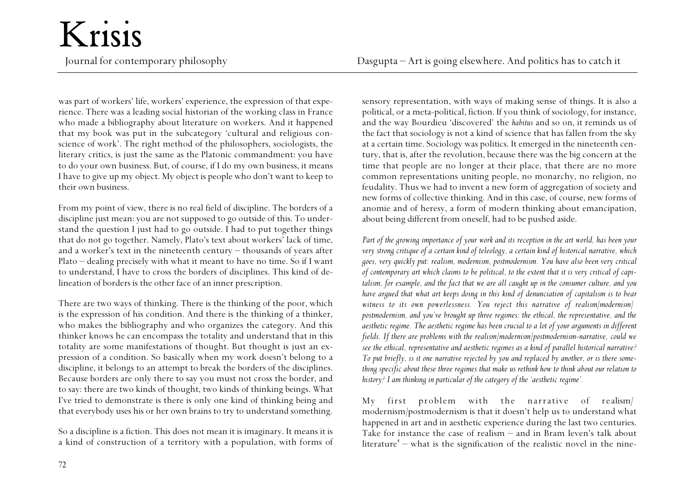was part of workers' life, workers' experience, the expression of that experience. There was a leading social historian of the working class in France who made a bibliography about literature on workers. And it happened that my book was put in the subcategory 'cultural and religious conscience of work'. The right method of the philosophers, sociologists, the literary critics, is just the same as the Platonic commandment: you have to do your own business. But, of course, if I do my own business, it means I have to give up my object. My object is people who don't want to keep to their own business.

From my point of view, there is no real field of discipline. The borders of a discipline just mean: you are not supposed to go outside of this. To understand the question I just had to go outside. I had to put together things that do not go together. Namely, Plato's text about workers' lack of time, and a worker's text in the nineteenth century – thousands of years after Plato – dealing precisely with what it meant to have no time. So if I want to understand, I have to cross the borders of disciplines. This kind of delineation of borders is the other face of an inner prescription.

There are two ways of thinking. There is the thinking of the poor, which is the expression of his condition. And there is the thinking of a thinker, who makes the bibliography and who organizes the category. And this thinker knows he can encompass the totality and understand that in this totality are some manifestations of thought. But thought is just an expression of a condition. So basically when my work doesn't belong to a discipline, it belongs to an attempt to break the borders of the disciplines. Because borders are only there to say you must not cross the border, and to say: there are two kinds of thought, two kinds of thinking beings. What I've tried to demonstrate is there is only one kind of thinking being and that everybody uses his or her own brains to try to understand something.

So a discipline is a fiction. This does not mean it is imaginary. It means it is a kind of construction of a territory with a population, with forms of sensory representation, with ways of making sense of things. It is also a political, or a meta-political, fiction. If you think of sociology, for instance, and the way Bourdieu 'discovered' the *habitus* and so on, it reminds us of the fact that sociology is not a kind of science that has fallen from the sky at a certain time. Sociology was politics. It emerged in the nineteenth century, that is, after the revolution, because there was the big concern at the time that people are no longer at their place, that there are no more common representations uniting people, no monarchy, no religion, no feudality. Thus we had to invent a new form of aggregation of society and new forms of collective thinking. And in this case, of course, new forms of anomie and of heresy, a form of modern thinking about emancipation, about being different from oneself, had to be pushed aside.

*Part of the growing importance of your work and its reception in the art world, has been your very strong critique of a certain kind of teleology, a certain kind of historical narrative, which goes, very quickly put: realism, modernism, postmodernism. You have also been very critical of contemporary art which claims to be political, to the extent that it is very critical of capitalism, for example, and the fact that we are all caught up in the consumer culture, and you have argued that what art keeps doing in this kind of denunciation of capitalism is to bear witness to its own powerlessness. You reject this narrative of realism/modernism/ postmodernism, and you've brought up three regimes: the ethical, the representative, and the aesthetic regime. The aesthetic regime has been crucial to a lot of your arguments in different fields. If there are problems with the realism/modernism/postmodernism-narrative, could we see the ethical, representative and aesthetic regimes as a kind of parallel historical narrative? To put briefly, is it one narrative rejected by you and replaced by another, or is there something specific about these three regimes that make us rethink how to think about our relation to history? I am thinking in particular of the category of the 'aesthetic regime'.*

My first problem with the narrative of realism/ modernism/postmodernism is that it doesn't help us to understand what happened in art and in aesthetic experience during the last two centuries. Take for instance the case of realism – and in Bram Ieven's talk about literature<sup>4</sup> – what is the signification of the realistic novel in the nine-

### Krisis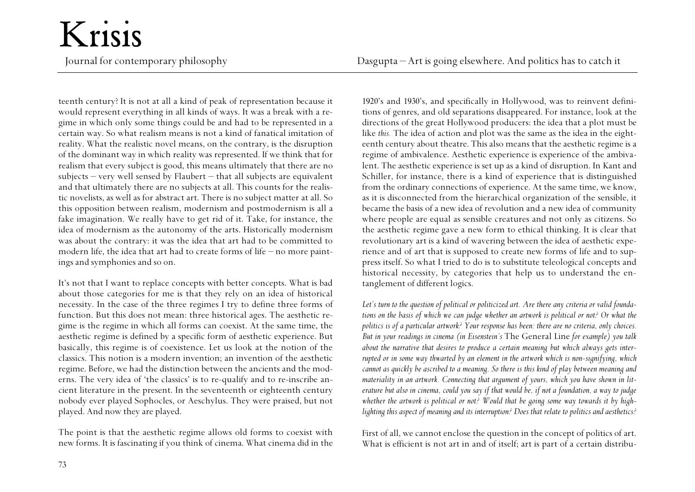teenth century? It is not at all a kind of peak of representation because it would represent everything in all kinds of ways. It was a break with a regime in which only some things could be and had to be represented in a certain way. So what realism means is not a kind of fanatical imitation of reality. What the realistic novel means, on the contrary, is the disruption of the dominant way in which reality was represented. If we think that for realism that every subject is good, this means ultimately that there are no subjects – very well sensed by Flaubert – that all subjects are equivalent and that ultimately there are no subjects at all. This counts for the realistic novelists, as well as for abstract art. There is no subject matter at all. So this opposition between realism, modernism and postmodernism is all a fake imagination. We really have to get rid of it. Take, for instance, the idea of modernism as the autonomy of the arts. Historically modernism was about the contrary: it was the idea that art had to be committed to modern life, the idea that art had to create forms of life – no more paintings and symphonies and so on.

It's not that I want to replace concepts with better concepts. What is bad about those categories for me is that they rely on an idea of historical necessity. In the case of the three regimes I try to define three forms of function. But this does not mean: three historical ages. The aesthetic regime is the regime in which all forms can coexist. At the same time, the aesthetic regime is defined by a specific form of aesthetic experience. But basically, this regime is of coexistence. Let us look at the notion of the classics. This notion is a modern invention; an invention of the aesthetic regime. Before, we had the distinction between the ancients and the moderns. The very idea of 'the classics' is to re-qualify and to re-inscribe ancient literature in the present. In the seventeenth or eighteenth century nobody ever played Sophocles, or Aeschylus. They were praised, but not played. And now they are played.

The point is that the aesthetic regime allows old forms to coexist with new forms. It is fascinating if you think of cinema. What cinema did in the

1920's and 1930's, and specifically in Hollywood, was to reinvent definitions of genres, and old separations disappeared. For instance, look at the directions of the great Hollywood producers: the idea that a plot must be like *this.* The idea of action and plot was the same as the idea in the eighteenth century about theatre. This also means that the aesthetic regime is a regime of ambivalence. Aesthetic experience is experience of the ambivalent. The aesthetic experience is set up as a kind of disruption. In Kant and Schiller, for instance, there is a kind of experience that is distinguished from the ordinary connections of experience. At the same time, we know, as it is disconnected from the hierarchical organization of the sensible, it became the basis of a new idea of revolution and a new idea of community where people are equal as sensible creatures and not only as citizens. So the aesthetic regime gave a new form to ethical thinking. It is clear that revolutionary art is a kind of wavering between the idea of aesthetic experience and of art that is supposed to create new forms of life and to suppress itself. So what I tried to do is to substitute teleological concepts and historical necessity, by categories that help us to understand the entanglement of different logics.

*Let's turn to the question of political or politicized art. Are there any criteria or valid foundations on the basis of which we can judge whether an artwork is political or not? Or what the politics is of a particular artwork? Your response has been: there are no criteria, only choices. But in your readings in cinema (in Eisenstein's* The General Line *for example) you talk about the narrative that desires to produce a certain meaning but which always gets interrupted or in some way thwarted by an element in the artwork which is non-signifying, which cannot as quickly be ascribed to a meaning. So there is this kind of play between meaning and materiality in an artwork. Connecting that argument of yours, which you have shown in literature but also in cinema, could you say if that would be, if not a foundation, a way to judge whether the artwork is political or not? Would that be going some way towards it by highlighting this aspect of meaning and its interruption? Does that relate to politics and aesthetics?*

First of all, we cannot enclose the question in the concept of politics of art. What is efficient is not art in and of itself; art is part of a certain distribu-

## Krisis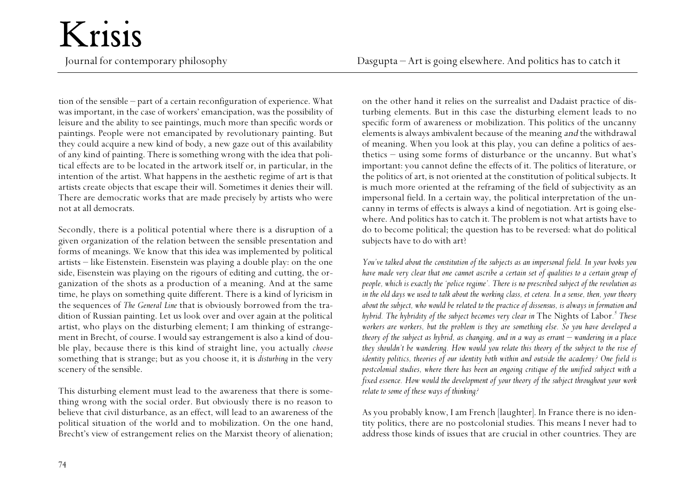tion of the sensible – part of a certain reconfiguration of experience. What was important, in the case of workers' emancipation, was the possibility of leisure and the ability to see paintings, much more than specific words or paintings. People were not emancipated by revolutionary painting. But they could acquire a new kind of body, a new gaze out of this availability of any kind of painting. There is something wrong with the idea that political effects are to be located in the artwork itself or, in particular, in the intention of the artist. What happens in the aesthetic regime of art is that artists create objects that escape their will. Sometimes it denies their will. There are democratic works that are made precisely by artists who were not at all democrats.

Krisis

Secondly, there is a political potential where there is a disruption of a given organization of the relation between the sensible presentation and forms of meanings. We know that this idea was implemented by political artists – like Eistenstein. Eisenstein was playing a double play: on the one side, Eisenstein was playing on the rigours of editing and cutting, the organization of the shots as a production of a meaning. And at the same time, he plays on something quite different. There is a kind of lyricism in the sequences of *The General Line* that is obviously borrowed from the tradition of Russian painting. Let us look over and over again at the political artist, who plays on the disturbing element; I am thinking of estrangement in Brecht, of course. I would say estrangement is also a kind of double play, because there is this kind of straight line, you actually *choose* something that is strange; but as you choose it, it is *disturbing* in the very scenery of the sensible.

This disturbing element must lead to the awareness that there is something wrong with the social order. But obviously there is no reason to believe that civil disturbance, as an effect, will lead to an awareness of the political situation of the world and to mobilization. On the one hand, Brecht's view of estrangement relies on the Marxist theory of alienation; on the other hand it relies on the surrealist and Dadaist practice of disturbing elements. But in this case the disturbing element leads to no specific form of awareness or mobilization. This politics of the uncanny elements is always ambivalent because of the meaning and the withdrawal of meaning. When you look at this play, you can define a politics of aesthetics – using some forms of disturbance or the uncanny. But what's important: you cannot define the effects of it. The politics of literature, or the politics of art, is not oriented at the constitution of political subjects. It is much more oriented at the reframing of the field of subjectivity as an impersonal field. In a certain way, the political interpretation of the uncanny in terms of effects is always a kind of negotiation. Art is going elsewhere. And politics has to catch it. The problem is not what artists have to do to become political; the question has to be reversed: what do political subjects have to do with art?

*You've talked about the constitution of the subjects as an impersonal field. In your books you have made very clear that one cannot ascribe a certain set of qualities to a certain group of people, which is exactly the 'police regime'. There is no prescribed subject of the revolution as in the old days we used to talk about the working class, et cetera. In a sense, then, your theory about the subject, who would be related to the practice of dissensus, is always in formation and hybrid. The hybridity of the subject becomes very clear in* The Nights of Labor*. 5 These workers are workers, but the problem is they are something else. So you have developed a theory of the subject as hybrid, as changing, and in a way as errant – wandering in a place they shouldn't be wandering. How would you relate this theory of the subject to the rise of identity politics, theories of our identity both within and outside the academy? One field is postcolonial studies, where there has been an ongoing critique of the unified subject with a fixed essence. How would the development of your theory of the subject throughout your work relate to some of these ways of thinking?*

As you probably know, I am French [laughter]. In France there is no identity politics, there are no postcolonial studies. This means I never had to address those kinds of issues that are crucial in other countries. They are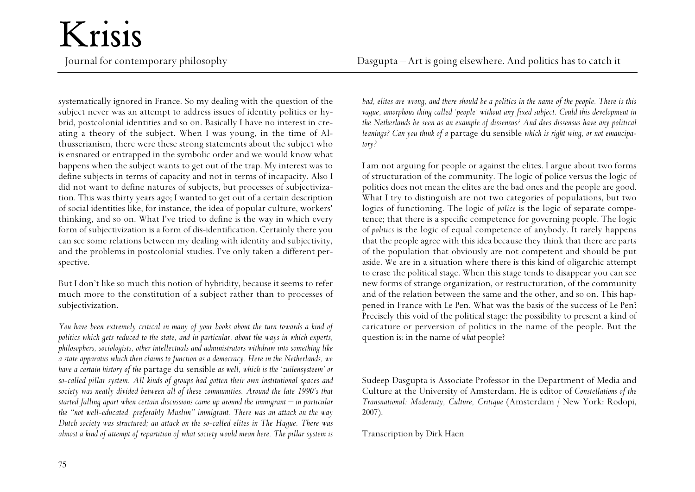Krisis

systematically ignored in France. So my dealing with the question of the subject never was an attempt to address issues of identity politics or hybrid, postcolonial identities and so on. Basically I have no interest in creating a theory of the subject. When I was young, in the time of Althusserianism, there were these strong statements about the subject who is ensnared or entrapped in the symbolic order and we would know what happens when the subject wants to get out of the trap. My interest was to define subjects in terms of capacity and not in terms of incapacity. Also I did not want to define natures of subjects, but processes of subjectivization. This was thirty years ago; I wanted to get out of a certain description of social identities like, for instance, the idea of popular culture, workers' thinking, and so on. What I've tried to define is the way in which every form of subjectivization is a form of dis-identification. Certainly there you can see some relations between my dealing with identity and subjectivity, and the problems in postcolonial studies. I've only taken a different perspective.

But I don't like so much this notion of hybridity, because it seems to refer much more to the constitution of a subject rather than to processes of subjectivization.

*You have been extremely critical in many of your books about the turn towards a kind of politics which gets reduced to the state, and in particular, about the ways in which experts, <sup>p</sup>hilosophers, sociologists, other intellectuals and administrators withdraw into something like a state apparatus which then claims to function as a democracy. Here in the Netherlands, we have a certain history of the* partage du sensible *as well, which is the 'zuilensysteem' or so-called pillar system. All kinds of groups had gotten their own institutional spaces and society was neatly divided between all of these communities. Around the late 1990's that started falling apart when certain discussions came up around the immigrant – in particular the "not well-educated, preferably Muslim" immigrant. There was an attack on the way Dutch society was structured; an attack on the so-called elites in The Hague. There was almost a kind of attempt of repartition of what society would mean here. The pillar system is* *bad, elites are wrong; and there should be a politics in the name of the people. There is this vague, amorphous thing called 'people' without any fixed subject. Could this development in the Netherlands be seen as an example of dissensus? And does dissensus have any political leanings? Can you think of a* partage du sensible *which is right wing, or not emancipatory?*

I am not arguing for people or against the elites. I argue about two forms of structuration of the community. The logic of police versus the logic of politics does not mean the elites are the bad ones and the people are good. What I try to distinguish are not two categories of populations, but two logics of functioning. The logic of *police* is the logic of separate competence; that there is a specific competence for governing people. The logic of *politics* is the logic of equal competence of anybody. It rarely happens that the people agree with this idea because they think that there are parts of the population that obviously are not competent and should be put aside. We are in a situation where there is this kind of oligarchic attempt to erase the political stage. When this stage tends to disappear you can see new forms of strange organization, or restructuration, of the community and of the relation between the same and the other, and so on. This happened in France with Le Pen. What was the basis of the success of Le Pen? Precisely this void of the political stage: the possibility to present a kind of caricature or perversion of politics in the name of the people. But the question is: in the name of *what* people?

Sudeep Dasgupta is Associate Professor in the Department of Media and Culture at the University of Amsterdam. He is editor of *Constellations of the Transnational: Modernity, Culture, Critique* (Amsterdam / New York: Rodopi, 2007).

Transcription by Dirk Haen